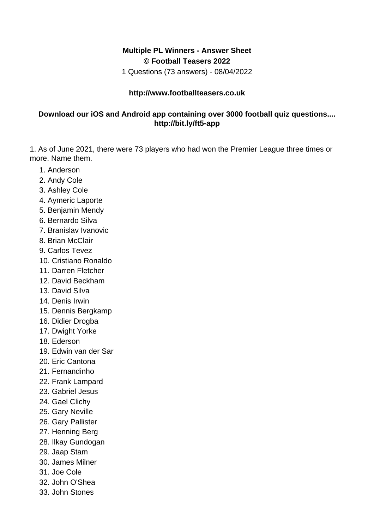## **Multiple PL Winners - Answer Sheet © Football Teasers 2022**

1 Questions (73 answers) - 08/04/2022

## **http://www.footballteasers.co.uk**

## **Download our iOS and Android app containing over 3000 football quiz questions.... http://bit.ly/ft5-app**

1. As of June 2021, there were 73 players who had won the Premier League three times or more. Name them.

- 1. Anderson
- 2. Andy Cole
- 3. Ashley Cole
- 4. Aymeric Laporte
- 5. Benjamin Mendy
- 6. Bernardo Silva
- 7. Branislav Ivanovic
- 8. Brian McClair
- 9. Carlos Tevez
- 10. Cristiano Ronaldo
- 11. Darren Fletcher
- 12. David Beckham
- 13. David Silva
- 14. Denis Irwin
- 15. Dennis Bergkamp
- 16. Didier Drogba
- 17. Dwight Yorke
- 18. Ederson
- 19. Edwin van der Sar
- 20. Eric Cantona
- 21. Fernandinho
- 22. Frank Lampard
- 23. Gabriel Jesus
- 24. Gael Clichy
- 25. Gary Neville
- 26. Gary Pallister
- 27. Henning Berg
- 28. Ilkay Gundogan
- 29. Jaap Stam
- 30. James Milner
- 31. Joe Cole
- 32. John O'Shea
- 33. John Stones